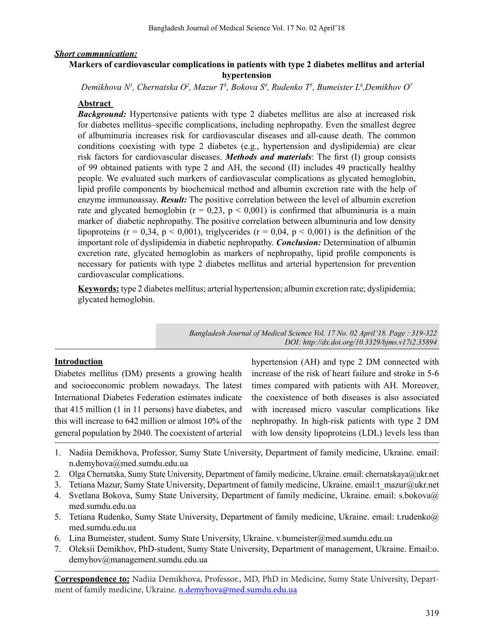#### *Short communication:*

### **Markers of cardiovascular complications in patients with type 2 diabetes mellitus and arterial hypertension**

*Demikhova N1 , Chernatska O2 , Mazur T3 , Bokova S4 , Rudenko T5 , Bumeister L6 ,Demikhov O7*

#### **Abstract**

**Background:** Hypertensive patients with type 2 diabetes mellitus are also at increased risk for diabetes mellitus–specific complications, including nephropathy. Even the smallest degree of albuminuria increases risk for cardiovascular diseases and all-cause death. The common conditions coexisting with type 2 diabetes (e.g., hypertension and dyslipidemia) are clear risk factors for cardiovascular diseases. *Methods and materials*: The first (I) group consists of 99 obtained patients with type 2 and AH, the second (II) includes 49 practically healthy people. We evaluated such markers of cardiovascular complications as glycated hemoglobin, lipid profile components by biochemical method and albumin excretion rate with the help of enzyme immunoassay. *Result:* The positive correlation between the level of albumin excretion rate and glycated hemoglobin ( $r = 0.23$ ,  $p < 0.001$ ) is confirmed that albuminuria is a main marker of diabetic nephropathy. The positive correlation between albuminuria and low density lipoproteins ( $r = 0.34$ ,  $p < 0.001$ ), triglycerides ( $r = 0.04$ ,  $p < 0.001$ ) is the definition of the important role of dyslipidemia in diabetic nephropathy. *Conclusion:* Determination of albumin excretion rate, glycated hemoglobin as markers of nephropathy, lipid profile components is necessary for patients with type 2 diabetes mellitus and arterial hypertension for prevention cardiovascular complications.

**Keywords:** type 2 diabetes mellitus; arterial hypertension; albumin excretion rate; dyslipidemia; glycated hemoglobin.

> *Bangladesh Journal of Medical Science Vol. 17 No. 02 April'18. Page : 319-322 DOI: http://dx.doi.org/10.3329/bjms.v17i2.35894*

#### **Introduction**

Diabetes mellitus (DM) presents a growing health and socioeconomic problem nowadays. The latest International Diabetes Federation estimates indicate that 415 million (1 in 11 persons) have diabetes, and this will increase to 642 million or almost 10% of the general population by 2040. The coexistent of arterial hypertension (AH) and type 2 DM connected with increase of the risk of heart failure and stroke in 5-6 times compared with patients with AH. Moreover, the coexistence of both diseases is also associated with increased micro vascular complications like nephropathy. In high-risk patients with type 2 DM with low density lipoproteins (LDL) levels less than

- 1. Nadiia Demikhova, Professor, Sumy State University, Department of family medicine, Ukraine. email: n.demyhova@med.sumdu.edu.ua
- 2. Olga Chernatska, Sumy State University, Department of family medicine, Ukraine. email: chernatskaya@ukr.net
- 3. Tetiana Mazur, Sumy State University, Department of family medicine, Ukraine. email:t\_mazur@ukr.net
- 4. Svetlana Bokova, Sumy State University, Department of family medicine, Ukraine. email: s.bokova@ med.sumdu.edu.ua
- 5. Tetiana Rudenko, Sumy State University, Department of family medicine, Ukraine. email: t.rudenko@ med.sumdu.edu.ua
- 6. Lina Bumeister, student. Sumy State University, Ukraine. v.bumeister@med.sumdu.edu.ua
- 7. Oleksii Demikhov, PhD-student, Sumy State University, Department of management, Ukraine. Email:o. demyhov@management.sumdu.edu.ua

**Correspondence to:** Nadiia Demikhova, Professor., MD, PhD in Medicine, Sumy State University, Department of family medicine, Ukraine. n.demyhova@med.sumdu.edu.ua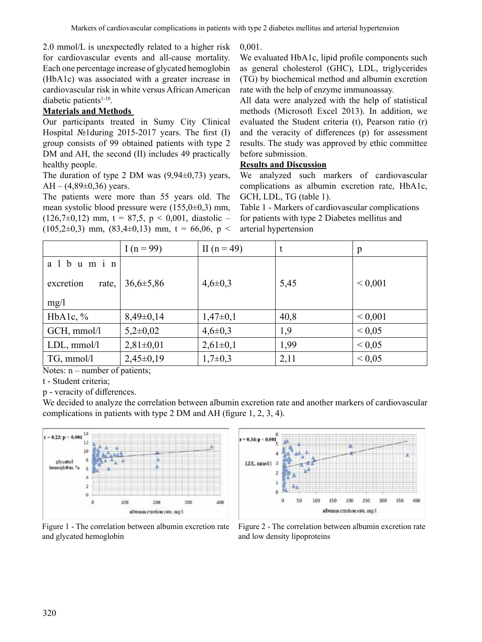2.0 mmol/L is unexpectedly related to a higher risk for cardiovascular events and all-cause mortality. Each one percentage increase of glycated hemoglobin (HbA1c) was associated with a greater increase in cardiovascular risk in white versus African American diabetic patients $1-10$ .

# **Materials and Methods**

Our participants treated in Sumy City Clinical Hospital №1during 2015-2017 years. The first (I) group consists of 99 obtained patients with type 2 DM and AH, the second (II) includes 49 practically healthy people.

The duration of type 2 DM was  $(9,94\pm0,73)$  years, AH –  $(4,89\pm0,36)$  years.

The patients were more than 55 years old. The mean systolic blood pressure were (155,0±0,3) mm,  $(126,7\pm0,12)$  mm, t = 87,5, p < 0,001, diastolic –  $(105,2\pm0,3)$  mm,  $(83,4\pm0,13)$  mm,  $t = 66,06$ ,  $p <$  0,001.

We evaluated HbA1c, lipid profile components such as general cholesterol (GHC), LDL, triglycerides (TG) by biochemical method and albumin excretion rate with the help of enzyme immunoassay.

All data were analyzed with the help of statistical methods (Microsoft Excel 2013). In addition, we evaluated the Student criteria (t), Pearson ratio (r) and the veracity of differences (p) for assessment results. The study was approved by ethic committee before submission.

### **Results and Discussion**

We analyzed such markers of cardiovascular complications as albumin excretion rate, HbA1с, GCH, LDL, TG (table 1).

Table 1 - Markers of cardiovascular complications for patients with type 2 Diabetes mellitus and arterial hypertension

|                    | I $(n = 99)$    | II $(n = 49)$ | t    | $\mathbf{p}$ |
|--------------------|-----------------|---------------|------|--------------|
| a 1 b u m i n      |                 |               |      |              |
| excretion<br>rate, | $36,6 \pm 5,86$ | $4,6 \pm 0,3$ | 5,45 | ${}< 0,001$  |
| mg/1               |                 |               |      |              |
| HbA1c, $\%$        | $8,49\pm0,14$   | $1,47\pm0,1$  | 40,8 | ${}< 0,001$  |
| GCH, mmol/l        | $5,2\pm0,02$    | $4,6 \pm 0,3$ | 1,9  | ${}< 0.05$   |
| $LDL$ , mmol/l     | $2,81\pm0,01$   | $2,61\pm0,1$  | 1,99 | ${}< 0.05$   |
| $TG, \,mmol/l$     | $2,45\pm0,19$   | $1,7\pm0,3$   | 2,11 | ${}< 0.05$   |

Notes:  $n$  – number of patients;

t - Student criteria;

p - veracity of differences.

We decided to analyze the correlation between albumin excretion rate and another markers of cardiovascular complications in patients with type 2 DM and AH (figure 1, 2, 3, 4).



Figure 1 - The correlation between albumin excretion rate and glycated hemoglobin



Figure 2 - The correlation between albumin excretion rate and low density lipoproteins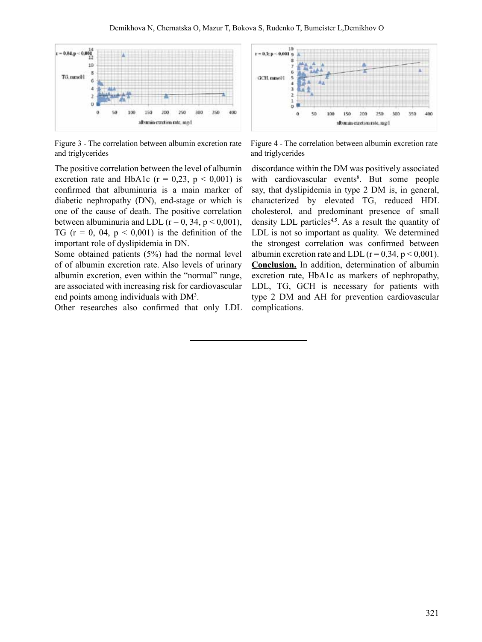

Figure 3 - The correlation between albumin excretion rate and triglycerides

The positive correlation between the level of albumin excretion rate and HbA1c ( $r = 0.23$ ,  $p < 0.001$ ) is confirmed that albuminuria is a main marker of diabetic nephropathy (DN), end-stage or which is one of the cause of death. The positive correlation between albuminuria and LDL ( $r = 0$ , 34,  $p \le 0.001$ ), TG ( $r = 0$ , 04,  $p < 0.001$ ) is the definition of the important role of dyslipidemia in DN.

Some obtained patients (5%) had the normal level of of albumin excretion rate. Also levels of urinary albumin excretion, even within the "normal" range, are associated with increasing risk for cardiovascular end points among individuals with DM<sup>3</sup>.

Other researches also confirmed that only LDL



Figure 4 - The correlation between albumin excretion rate and triglycerides

discordance within the DM was positively associated with cardiovascular events<sup>8</sup>. But some people say, that dyslipidemia in type 2 DM is, in general, characterized by elevated TG, reduced HDL cholesterol, and predominant presence of small density LDL particles<sup>4,5</sup>. As a result the quantity of LDL is not so important as quality. We determined the strongest correlation was confirmed between albumin excretion rate and LDL ( $r = 0.34$ ,  $p < 0.001$ ). **Conclusion.** In addition, determination of albumin excretion rate, HbA1с as markers of nephropathy, LDL, TG, GCH is necessary for patients with type 2 DM and AH for prevention cardiovascular complications.